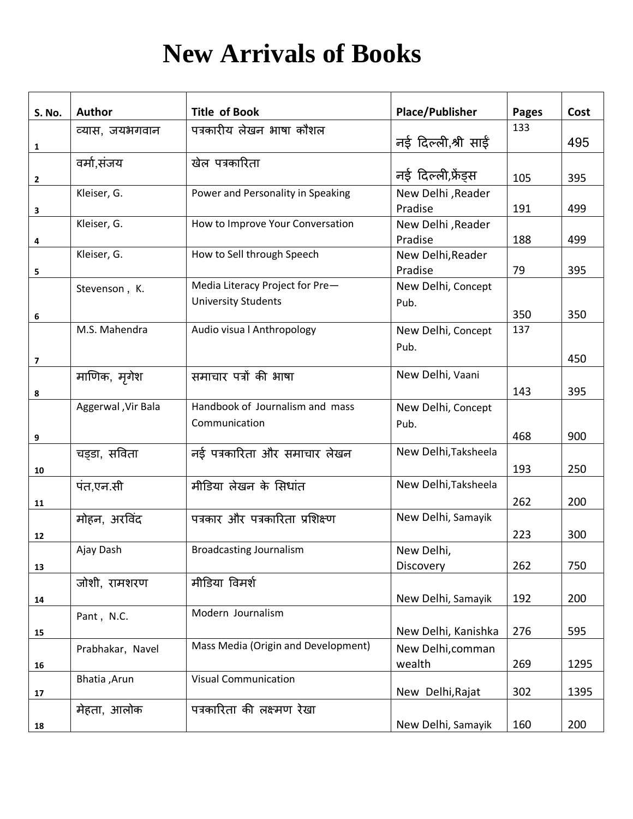## **New Arrivals of Books**

| S. No.                  | <b>Author</b>      | <b>Title of Book</b>                | <b>Place/Publisher</b> | <b>Pages</b> | Cost |
|-------------------------|--------------------|-------------------------------------|------------------------|--------------|------|
|                         | व्यास, जयभगवान     | पत्रकारीय लेखन भाषा कौशल            |                        | 133          |      |
| 1                       |                    |                                     | नई दिल्ली,श्री साईं    |              | 495  |
|                         | वर्मा,संजय         | खेल पत्रकारिता                      |                        |              |      |
| $\mathbf{2}$            |                    |                                     | नई दिल्ली,फ्रेंड्स     | 105          | 395  |
|                         | Kleiser, G.        | Power and Personality in Speaking   | New Delhi , Reader     |              |      |
| 3                       |                    |                                     | Pradise                | 191          | 499  |
|                         | Kleiser, G.        | How to Improve Your Conversation    | New Delhi, Reader      |              |      |
| 4                       |                    |                                     | Pradise                | 188          | 499  |
|                         | Kleiser, G.        | How to Sell through Speech          | New Delhi, Reader      |              |      |
| 5                       |                    |                                     | Pradise                | 79           | 395  |
|                         | Stevenson, K.      | Media Literacy Project for Pre-     | New Delhi, Concept     |              |      |
| 6                       |                    | <b>University Students</b>          | Pub.                   | 350          | 350  |
|                         | M.S. Mahendra      | Audio visua   Anthropology          | New Delhi, Concept     | 137          |      |
|                         |                    |                                     | Pub.                   |              |      |
| $\overline{\mathbf{z}}$ |                    |                                     |                        |              | 450  |
|                         | माणिक, मृगेश       | समाचार पत्रों की भाषा               | New Delhi, Vaani       |              |      |
| 8                       |                    |                                     |                        | 143          | 395  |
|                         | Aggerwal, Vir Bala | Handbook of Journalism and mass     | New Delhi, Concept     |              |      |
|                         |                    | Communication                       | Pub.                   |              |      |
| 9                       |                    |                                     |                        | 468          | 900  |
|                         | चड़डा, सविता       | नई पत्रकारिता और समाचार लेखन        | New Delhi, Taksheela   |              |      |
| 10                      |                    |                                     |                        | 193          | 250  |
|                         | पंत,एन.सी          | मीडिया लेखन के सिधांत               | New Delhi, Taksheela   |              |      |
| 11                      |                    |                                     |                        | 262          | 200  |
|                         | मोहन, अरविंद       | पत्रकार और पत्रकारिता प्रशिक्ष्ण    | New Delhi, Samayik     |              |      |
| 12                      |                    |                                     |                        | 223          | 300  |
|                         | Ajay Dash          | <b>Broadcasting Journalism</b>      | New Delhi,             |              |      |
| 13                      |                    |                                     | Discovery              | 262          | 750  |
|                         | जोशी, रामशरण       | मीडिया विमर्श                       |                        |              |      |
| 14                      |                    | Modern Journalism                   | New Delhi, Samayik     | 192          | 200  |
|                         | Pant, N.C.         |                                     |                        |              |      |
| 15                      |                    | Mass Media (Origin and Development) | New Delhi, Kanishka    | 276          | 595  |
|                         | Prabhakar, Navel   |                                     | New Delhi, comman      |              |      |
| 16                      | Bhatia, Arun       | <b>Visual Communication</b>         | wealth                 | 269          | 1295 |
| ${\bf 17}$              |                    |                                     | New Delhi, Rajat       | 302          | 1395 |
|                         | मेहता, आलोक        | पत्रकारिता की लक्ष्मण रेखा          |                        |              |      |
| 18                      |                    |                                     | New Delhi, Samayik     | 160          | 200  |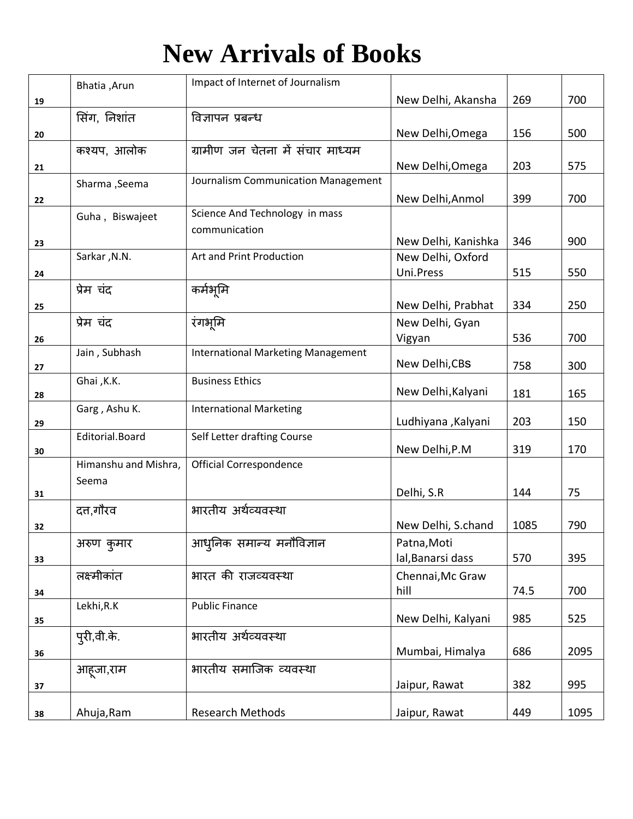## **New Arrivals of Books**

|    | Bhatia, Arun         | Impact of Internet of Journalism          |                                          |      |      |
|----|----------------------|-------------------------------------------|------------------------------------------|------|------|
| 19 |                      |                                           | New Delhi, Akansha                       | 269  | 700  |
|    | सिंग, निशांत         | विज्ञापन प्रबन्ध                          |                                          |      |      |
| 20 |                      |                                           | New Delhi, Omega                         | 156  | 500  |
|    | कश्यप, आलोक          | ग्रामीण जन चेतना में संचार माध्यम         |                                          |      |      |
| 21 |                      |                                           | New Delhi, Omega                         | 203  | 575  |
|    | Sharma , Seema       | Journalism Communication Management       |                                          |      |      |
| 22 |                      |                                           | New Delhi, Anmol                         | 399  | 700  |
|    | Guha, Biswajeet      | Science And Technology in mass            |                                          |      |      |
|    |                      | communication                             |                                          |      |      |
| 23 | Sarkar, N.N.         | Art and Print Production                  | New Delhi, Kanishka<br>New Delhi, Oxford | 346  | 900  |
|    |                      |                                           | Uni.Press                                | 515  | 550  |
| 24 | प्रेम चंद            | कर्मभूमि                                  |                                          |      |      |
| 25 |                      |                                           | New Delhi, Prabhat                       | 334  | 250  |
|    | प्रेम चंद            | रंगभूमि                                   | New Delhi, Gyan                          |      |      |
| 26 |                      |                                           | Vigyan                                   | 536  | 700  |
|    | Jain, Subhash        | <b>International Marketing Management</b> |                                          |      |      |
| 27 |                      |                                           | New Delhi, CBS                           | 758  | 300  |
|    | Ghai, K.K.           | <b>Business Ethics</b>                    |                                          |      |      |
| 28 |                      |                                           | New Delhi, Kalyani                       | 181  | 165  |
| 29 | Garg, Ashu K.        | <b>International Marketing</b>            | Ludhiyana , Kalyani                      | 203  | 150  |
|    | Editorial.Board      | Self Letter drafting Course               |                                          |      |      |
| 30 |                      |                                           | New Delhi, P.M                           | 319  | 170  |
|    | Himanshu and Mishra, | Official Correspondence                   |                                          |      |      |
|    | Seema                |                                           |                                          |      |      |
| 31 |                      |                                           | Delhi, S.R                               | 144  | 75   |
|    | दत्त,गौरव            | भारतीय अर्थव्यवस्था                       |                                          | 1085 | 790  |
| 32 |                      |                                           | New Delhi, S.chand                       |      |      |
|    | अरुण कुमार           | आधुनिक समान्य मनौविज्ञान                  | Patna, Moti<br>lal, Banarsi dass         | 570  | 395  |
| 33 | लक्ष्मीकांत          | भारत की राजव्यवस्था                       | Chennai, Mc Graw                         |      |      |
|    |                      |                                           | hill                                     | 74.5 | 700  |
| 34 | Lekhi, R.K           | <b>Public Finance</b>                     |                                          |      |      |
| 35 |                      |                                           | New Delhi, Kalyani                       | 985  | 525  |
|    | पूरी,वी.के.          | भारतीय अर्थव्यवस्था                       |                                          |      |      |
| 36 |                      |                                           | Mumbai, Himalya                          | 686  | 2095 |
|    | आहजा,राम             | भारतीय समाजिक व्यवस्था                    |                                          |      |      |
| 37 |                      |                                           | Jaipur, Rawat                            | 382  | 995  |
|    |                      |                                           |                                          |      |      |
| 38 | Ahuja, Ram           | <b>Research Methods</b>                   | Jaipur, Rawat                            | 449  | 1095 |